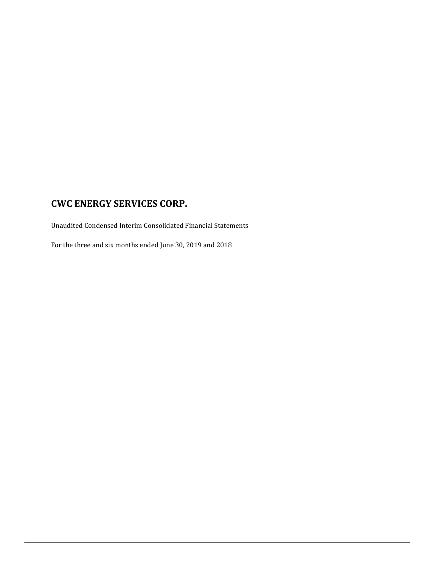Unaudited Condensed Interim Consolidated Financial Statements

For the three and six months ended June 30, 2019 and 2018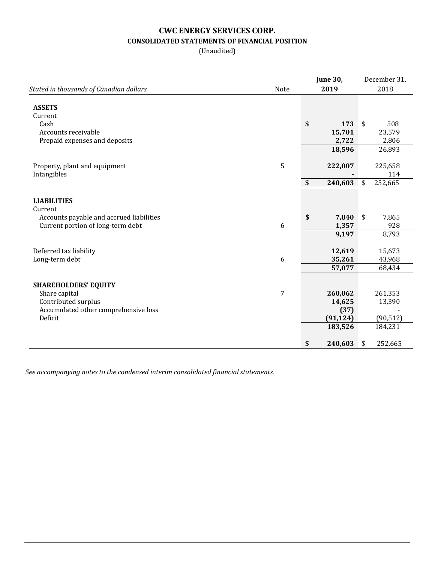## **CWC ENERGY SERVICES CORP. CONSOLIDATED STATEMENTS OF FINANCIAL POSITION**

(Unaudited)

|                                                 |      | <b>June 30,</b> | December 31,  |
|-------------------------------------------------|------|-----------------|---------------|
| Stated in thousands of Canadian dollars         | Note | 2019            | 2018          |
| <b>ASSETS</b>                                   |      |                 |               |
| Current                                         |      |                 |               |
| Cash                                            |      | \$<br>173       | \$<br>508     |
| Accounts receivable                             |      | 15,701          | 23,579        |
| Prepaid expenses and deposits                   |      | 2,722           | 2,806         |
|                                                 |      | 18,596          | 26,893        |
| Property, plant and equipment                   | 5    | 222,007         | 225,658       |
| Intangibles                                     |      |                 | 114           |
|                                                 |      | \$<br>240,603   | \$<br>252,665 |
|                                                 |      |                 |               |
| <b>LIABILITIES</b>                              |      |                 |               |
| Current                                         |      |                 |               |
| Accounts payable and accrued liabilities        |      | \$<br>7,840     | \$<br>7,865   |
| Current portion of long-term debt               | 6    | 1,357           | 928           |
|                                                 |      | 9,197           | 8,793         |
| Deferred tax liability                          |      | 12,619          | 15,673        |
| Long-term debt                                  | 6    | 35,261          | 43,968        |
|                                                 |      | 57,077          | 68,434        |
|                                                 |      |                 |               |
| <b>SHAREHOLDERS' EQUITY</b>                     |      |                 |               |
| Share capital                                   | 7    | 260,062         | 261,353       |
| Contributed surplus                             |      | 14,625          | 13,390        |
| Accumulated other comprehensive loss<br>Deficit |      | (37)            |               |
|                                                 |      | (91, 124)       | (90, 512)     |
|                                                 |      | 183,526         | 184,231       |
|                                                 |      | \$<br>240,603   | \$<br>252,665 |

*See accompanying notes to the condensed interim consolidated financial statements.*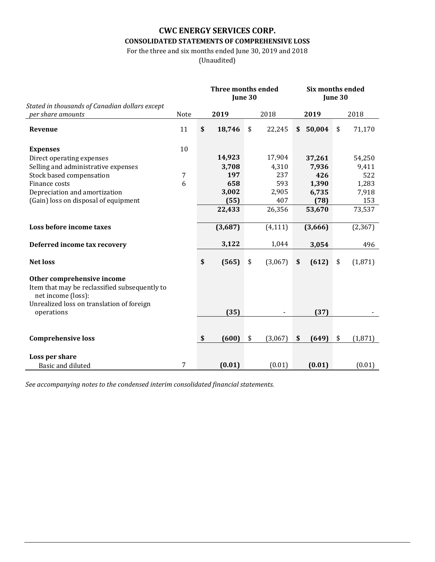## **CWC ENERGY SERVICES CORP. CONSOLIDATED STATEMENTS OF COMPREHENSIVE LOSS**

For the three and six months ended June 30, 2019 and 2018

(Unaudited)

|                                                                                                                                                              |      | Three months ended<br>June 30 |               | Six months ended | June 30 |          |
|--------------------------------------------------------------------------------------------------------------------------------------------------------------|------|-------------------------------|---------------|------------------|---------|----------|
| Stated in thousands of Canadian dollars except                                                                                                               |      |                               |               |                  |         |          |
| per share amounts                                                                                                                                            | Note | 2019                          | 2018          | 2019             |         | 2018     |
| Revenue                                                                                                                                                      | 11   | \$<br>18,746                  | \$<br>22,245  | \$<br>50,004     | \$      | 71,170   |
| <b>Expenses</b>                                                                                                                                              | 10   |                               |               |                  |         |          |
| Direct operating expenses                                                                                                                                    |      | 14,923                        | 17,904        | 37,261           |         | 54,250   |
| Selling and administrative expenses                                                                                                                          |      | 3,708                         | 4,310         | 7,936            |         | 9,411    |
| Stock based compensation                                                                                                                                     | 7    | 197                           | 237           | 426              |         | 522      |
| Finance costs                                                                                                                                                | 6    | 658                           | 593           | 1,390            |         | 1,283    |
| Depreciation and amortization                                                                                                                                |      | 3,002                         | 2,905         | 6,735            |         | 7,918    |
| (Gain) loss on disposal of equipment                                                                                                                         |      | (55)                          | 407           | (78)             |         | 153      |
|                                                                                                                                                              |      | 22,433                        | 26,356        | 53,670           |         | 73,537   |
| Loss before income taxes                                                                                                                                     |      | (3,687)                       | (4, 111)      | (3,666)          |         | (2, 367) |
|                                                                                                                                                              |      |                               |               |                  |         |          |
| Deferred income tax recovery                                                                                                                                 |      | 3,122                         | 1,044         | 3,054            |         | 496      |
| <b>Net loss</b>                                                                                                                                              |      | \$<br>(565)                   | \$<br>(3,067) | \$<br>(612)      | \$      | (1,871)  |
| Other comprehensive income<br>Item that may be reclassified subsequently to<br>net income (loss):<br>Unrealized loss on translation of foreign<br>operations |      | (35)                          |               | (37)             |         |          |
|                                                                                                                                                              |      |                               |               |                  |         |          |
| <b>Comprehensive loss</b>                                                                                                                                    |      | \$<br>(600)                   | \$<br>(3,067) | \$<br>(649)      | \$      | (1, 871) |
|                                                                                                                                                              |      |                               |               |                  |         |          |
| Loss per share                                                                                                                                               |      |                               |               |                  |         |          |
| Basic and diluted                                                                                                                                            | 7    | (0.01)                        | (0.01)        | (0.01)           |         | (0.01)   |

*See accompanying notes to the condensed interim consolidated financial statements.*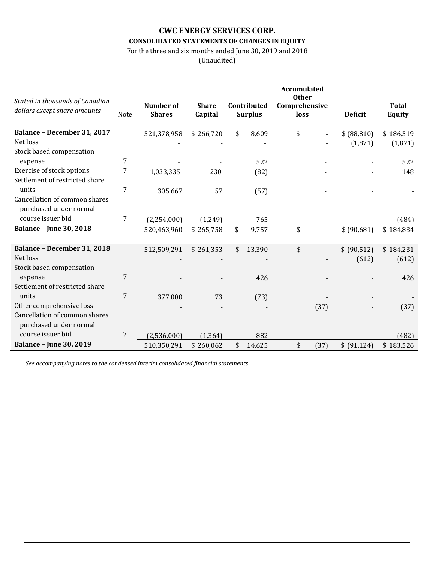### **CWC ENERGY SERVICES CORP. CONSOLIDATED STATEMENTS OF CHANGES IN EQUITY**

For the three and six months ended June 30, 2019 and 2018

(Unaudited)

| Stated in thousands of Canadian                             |      |               |              |                | <b>Accumulated</b><br><b>Other</b> |      |                         |                      |
|-------------------------------------------------------------|------|---------------|--------------|----------------|------------------------------------|------|-------------------------|----------------------|
| dollars except share amounts                                |      | Number of     | <b>Share</b> | Contributed    | Comprehensive                      |      |                         | <b>Total</b>         |
|                                                             | Note | <b>Shares</b> | Capital      | <b>Surplus</b> | loss                               |      | <b>Deficit</b>          | Equity               |
| <b>Balance - December 31, 2017</b><br>Net loss              |      | 521,378,958   | \$266,720    | \$<br>8,609    | \$                                 |      | \$ (88, 810)<br>(1,871) | \$186,519<br>(1,871) |
| Stock based compensation                                    |      |               |              |                |                                    |      |                         |                      |
| expense                                                     | 7    |               |              | 522            |                                    |      |                         | 522                  |
| Exercise of stock options<br>Settlement of restricted share | 7    | 1,033,335     | 230          | (82)           |                                    |      |                         | 148                  |
| units                                                       | 7    | 305,667       | 57           | (57)           |                                    |      |                         |                      |
| Cancellation of common shares<br>purchased under normal     |      |               |              |                |                                    |      |                         |                      |
| course issuer bid                                           | 7    | (2,254,000)   | (1, 249)     | 765            |                                    |      |                         | (484)                |
| <b>Balance - June 30, 2018</b>                              |      | 520,463,960   | \$265,758    | \$<br>9,757    | \$                                 |      | \$(90,681)              | \$184,834            |
|                                                             |      |               |              |                |                                    |      |                         |                      |
| <b>Balance - December 31, 2018</b>                          |      | 512,509,291   | \$261,353    | \$<br>13,390   | \$                                 |      | \$ (90,512)             | \$184,231            |
| Net loss                                                    |      |               |              |                |                                    |      | (612)                   | (612)                |
| Stock based compensation                                    |      |               |              |                |                                    |      |                         |                      |
| expense                                                     | 7    |               |              | 426            |                                    |      |                         | 426                  |
| Settlement of restricted share                              |      |               |              |                |                                    |      |                         |                      |
| units                                                       | 7    | 377,000       | 73           | (73)           |                                    |      |                         |                      |
| Other comprehensive loss                                    |      |               |              |                |                                    | (37) |                         | (37)                 |
| Cancellation of common shares                               |      |               |              |                |                                    |      |                         |                      |
| purchased under normal                                      |      |               |              |                |                                    |      |                         |                      |
| course issuer bid                                           | 7    | (2,536,000)   | (1, 364)     | 882            |                                    |      |                         | (482)                |
| <b>Balance - June 30, 2019</b>                              |      | 510,350,291   | \$260,062    | \$<br>14,625   | \$                                 | (37) | \$ (91,124)             | \$183,526            |

*See accompanying notes to the condensed interim consolidated financial statements.*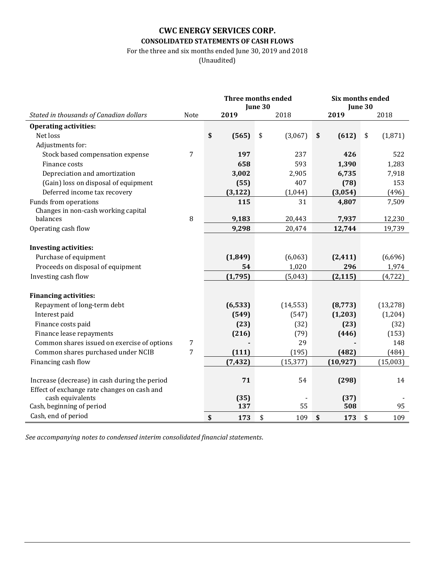### **CWC ENERGY SERVICES CORP. CONSOLIDATED STATEMENTS OF CASH FLOWS**

For the three and six months ended June 30, 2019 and 2018

(Unaudited)

|                                               |      |             | <b>Three months ended</b><br>June 30 |             | Six months ended<br>June 30 |
|-----------------------------------------------|------|-------------|--------------------------------------|-------------|-----------------------------|
| Stated in thousands of Canadian dollars       | Note | 2019        | 2018                                 | 2019        | 2018                        |
| <b>Operating activities:</b>                  |      |             |                                      |             |                             |
| Net loss                                      |      | \$<br>(565) | \$<br>(3,067)                        | (612)<br>\$ | (1,871)<br>\$               |
| Adjustments for:                              |      |             |                                      |             |                             |
| Stock based compensation expense              | 7    | 197         | 237                                  | 426         | 522                         |
| Finance costs                                 |      | 658         | 593                                  | 1,390       | 1,283                       |
| Depreciation and amortization                 |      | 3,002       | 2,905                                | 6,735       | 7,918                       |
| (Gain) loss on disposal of equipment          |      | (55)        | 407                                  | (78)        | 153                         |
| Deferred income tax recovery                  |      | (3, 122)    | (1,044)                              | (3,054)     | (496)                       |
| Funds from operations                         |      | 115         | 31                                   | 4,807       | 7,509                       |
| Changes in non-cash working capital           |      |             |                                      |             |                             |
| balances                                      | 8    | 9,183       | 20,443                               | 7,937       | 12,230                      |
| Operating cash flow                           |      | 9,298       | 20,474                               | 12,744      | 19,739                      |
|                                               |      |             |                                      |             |                             |
| <b>Investing activities:</b>                  |      |             |                                      |             |                             |
| Purchase of equipment                         |      | (1,849)     | (6,063)                              | (2, 411)    | (6,696)                     |
| Proceeds on disposal of equipment             |      | 54          | 1,020                                | 296         | 1,974                       |
| Investing cash flow                           |      | (1,795)     | (5,043)                              | (2, 115)    | (4, 722)                    |
|                                               |      |             |                                      |             |                             |
| <b>Financing activities:</b>                  |      |             |                                      |             |                             |
| Repayment of long-term debt                   |      | (6, 533)    | (14, 553)                            | (8, 773)    | (13, 278)                   |
| Interest paid                                 |      | (549)       | (547)                                | (1,203)     | (1,204)                     |
| Finance costs paid                            |      | (23)        | (32)                                 | (23)        | (32)                        |
| Finance lease repayments                      |      | (216)       | (79)                                 | (446)       | (153)                       |
| Common shares issued on exercise of options   | 7    |             | 29                                   |             | 148                         |
| Common shares purchased under NCIB            | 7    | (111)       | (195)                                | (482)       | (484)                       |
| Financing cash flow                           |      | (7, 432)    | (15, 377)                            | (10, 927)   | (15,003)                    |
|                                               |      |             |                                      |             |                             |
| Increase (decrease) in cash during the period |      | 71          | 54                                   | (298)       | 14                          |
| Effect of exchange rate changes on cash and   |      |             |                                      |             |                             |
| cash equivalents                              |      | (35)        |                                      | (37)        |                             |
| Cash, beginning of period                     |      | 137         | 55                                   | 508         | 95                          |
| Cash, end of period                           |      | \$<br>173   | \$<br>109                            | \$<br>173   | \$<br>109                   |

*See accompanying notes to condensed interim consolidated financial statements*.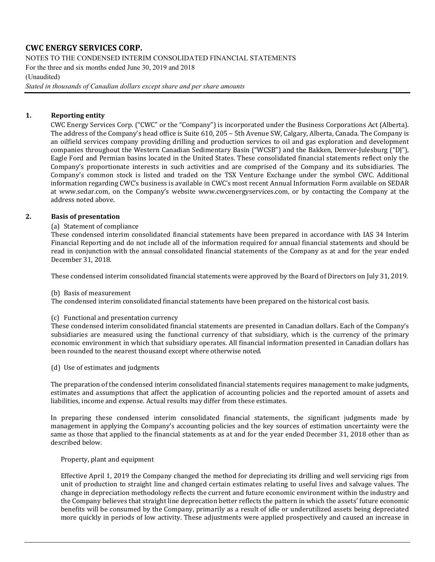NOTES TO THE CONDENSED INTERIM CONSOLIDATED FINANCIAL STATEMENTS

For the three and six months ended June 30, 2019 and 2018

#### (Unaudited)

*Stated in thousands of Canadian dollars except share and per share amounts*

### **1. Reporting entity**

CWC Energy Services Corp. ("CWC" or the "Company") is incorporated under the Business Corporations Act (Alberta). The address of the Company's head office is Suite 610, 205 – 5th Avenue SW, Calgary, Alberta, Canada. The Company is an oilfield services company providing drilling and production services to oil and gas exploration and development companies throughout the Western Canadian Sedimentary Basin ("WCSB") and the Bakken, Denver-Julesburg ("DJ"), Eagle Ford and Permian basins located in the United States. These consolidated financial statements reflect only the Company's proportionate interests in such activities and are comprised of the Company and its subsidiaries. The Company's common stock is listed and traded on the TSX Venture Exchange under the symbol CWC. Additional information regarding CWC's business is available in CWC's most recent Annual Information Form available on SEDAR at [www.sedar.com,](http://www.sedar.com/) on the Company's website [www.cwcenergyservices.com,](http://www.cwcenergyservices.com/) or by contacting the Company at the address noted above.

### **2. Basis of presentation**

#### (a) Statement of compliance

These condensed interim consolidated financial statements have been prepared in accordance with IAS 34 Interim Financial Reporting and do not include all of the information required for annual financial statements and should be read in conjunction with the annual consolidated financial statements of the Company as at and for the year ended December 31, 2018.

These condensed interim consolidated financial statements were approved by the Board of Directors on July 31, 2019.

#### (b) Basis of measurement

The condensed interim consolidated financial statements have been prepared on the historical cost basis.

#### (c) Functional and presentation currency

These condensed interim consolidated financial statements are presented in Canadian dollars. Each of the Company's subsidiaries are measured using the functional currency of that subsidiary, which is the currency of the primary economic environment in which that subsidiary operates. All financial information presented in Canadian dollars has been rounded to the nearest thousand except where otherwise noted.

(d) Use of estimates and judgments

The preparation of the condensed interim consolidated financial statements requires management to make judgments, estimates and assumptions that affect the application of accounting policies and the reported amount of assets and liabilities, income and expense. Actual results may differ from these estimates.

In preparing these condensed interim consolidated financial statements, the significant judgments made by management in applying the Company's accounting policies and the key sources of estimation uncertainty were the same as those that applied to the financial statements as at and for the year ended December 31, 2018 other than as described below.

#### Property, plant and equipment

Effective April 1, 2019 the Company changed the method for depreciating its drilling and well servicing rigs from unit of production to straight line and changed certain estimates relating to useful lives and salvage values. The change in depreciation methodology reflects the current and future economic environment within the industry and the Company believes that straight line deprecation better reflects the pattern in which the assets' future economic benefits will be consumed by the Company, primarily as a result of idle or underutilized assets being depreciated more quickly in periods of low activity. These adjustments were applied prospectively and caused an increase in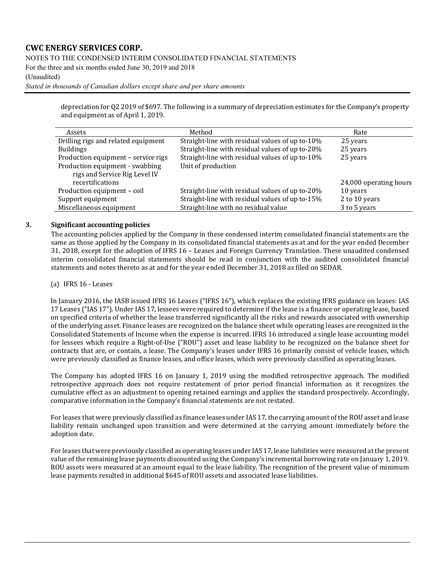### NOTES TO THE CONDENSED INTERIM CONSOLIDATED FINANCIAL STATEMENTS

For the three and six months ended June 30, 2019 and 2018

### (Unaudited)

*Stated in thousands of Canadian dollars except share and per share amounts*

depreciation for Q2 2019 of \$697. The following is a summary of depreciation estimates for the Company's property and equipment as of April 1, 2019.

| Assets                              | Method                                          | Rate                   |
|-------------------------------------|-------------------------------------------------|------------------------|
| Drilling rigs and related equipment | Straight-line with residual values of up to-10% | 25 years               |
| <b>Buildings</b>                    | Straight-line with residual values of up to-20% | 25 years               |
| Production equipment - service rigs | Straight-line with residual values of up to-10% | 25 years               |
| Production equipment - swabbing     | Unit of production                              |                        |
| rigs and Service Rig Level IV       |                                                 |                        |
| recertifications                    |                                                 | 24,000 operating hours |
| Production equipment - coil         | Straight-line with residual values of up to-20% | 10 years               |
| Support equipment                   | Straight-line with residual values of up to-15% | 2 to 10 years          |
| Miscellaneous equipment             | Straight-line with no residual value            | 3 to 5 years           |

### **3. Significant accounting policies**

The accounting policies applied by the Company in these condensed interim consolidated financial statements are the same as those applied by the Company in its consolidated financial statements as at and for the year ended December 31, 2018, except for the adoption of IFRS 16 – Leases and Foreign Currency Translation. These unaudited condensed interim consolidated financial statements should be read in conjunction with the audited consolidated financial statements and notes thereto as at and for the year ended December 31, 2018 as filed on SEDAR.

(a) IFRS 16 - Leases

In January 2016, the IASB issued IFRS 16 Leases ("IFRS 16"), which replaces the existing IFRS guidance on leases: IAS 17 Leases ("IAS 17"). Under IAS 17, lessees were required to determine if the lease is a finance or operating lease, based on specified criteria of whether the lease transferred significantly all the risks and rewards associated with ownership of the underlying asset. Finance leases are recognized on the balance sheet while operating leases are recognized in the Consolidated Statements of Income when the expense is incurred. IFRS 16 introduced a single lease accounting model for lessees which require a Right-of-Use ("ROU") asset and lease liability to be recognized on the balance sheet for contracts that are, or contain, a lease. The Company's leases under IFRS 16 primarily consist of vehicle leases, which were previously classified as finance leases, and office leases, which were previously classified as operating leases.

The Company has adopted IFRS 16 on January 1, 2019 using the modified retrospective approach. The modified retrospective approach does not require restatement of prior period financial information as it recognizes the cumulative effect as an adjustment to opening retained earnings and applies the standard prospectively. Accordingly, comparative information in the Company's financial statements are not restated.

For leases that were previously classified as finance leases under IAS 17, the carrying amount of the ROU asset and lease liability remain unchanged upon transition and were determined at the carrying amount immediately before the adoption date.

For leases that were previously classified as operating leases under IAS 17, lease liabilities were measured at the present value of the remaining lease payments discounted using the Company's incremental borrowing rate on January 1, 2019. ROU assets were measured at an amount equal to the lease liability. The recognition of the present value of minimum lease payments resulted in additional \$645 of ROU assets and associated lease liabilities.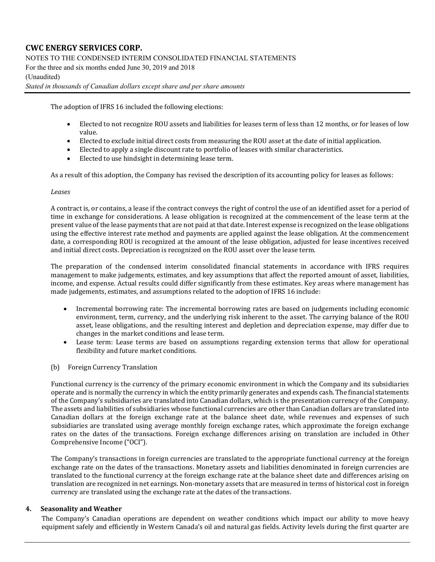### NOTES TO THE CONDENSED INTERIM CONSOLIDATED FINANCIAL STATEMENTS

For the three and six months ended June 30, 2019 and 2018

### (Unaudited)

*Stated in thousands of Canadian dollars except share and per share amounts*

The adoption of IFRS 16 included the following elections:

- Elected to not recognize ROU assets and liabilities for leases term of less than 12 months, or for leases of low value.
- Elected to exclude initial direct costs from measuring the ROU asset at the date of initial application.
- Elected to apply a single discount rate to portfolio of leases with similar characteristics.
- Elected to use hindsight in determining lease term.

As a result of this adoption, the Company has revised the description of its accounting policy for leases as follows:

#### *Leases*

A contract is, or contains, a lease if the contract conveys the right of control the use of an identified asset for a period of time in exchange for considerations. A lease obligation is recognized at the commencement of the lease term at the present value of the lease payments that are not paid at that date. Interest expense is recognized on the lease obligations using the effective interest rate method and payments are applied against the lease obligation. At the commencement date, a corresponding ROU is recognized at the amount of the lease obligation, adjusted for lease incentives received and initial direct costs. Depreciation is recognized on the ROU asset over the lease term.

The preparation of the condensed interim consolidated financial statements in accordance with IFRS requires management to make judgements, estimates, and key assumptions that affect the reported amount of asset, liabilities, income, and expense. Actual results could differ significantly from these estimates. Key areas where management has made judgements, estimates, and assumptions related to the adoption of IFRS 16 include:

- Incremental borrowing rate: The incremental borrowing rates are based on judgements including economic environment, term, currency, and the underlying risk inherent to the asset. The carrying balance of the ROU asset, lease obligations, and the resulting interest and depletion and depreciation expense, may differ due to changes in the market conditions and lease term.
- Lease term: Lease terms are based on assumptions regarding extension terms that allow for operational flexibility and future market conditions.
- (b) Foreign Currency Translation

Functional currency is the currency of the primary economic environment in which the Company and its subsidiaries operate and is normally the currency in which the entity primarily generates and expends cash. The financial statements of the Company's subsidiaries are translated into Canadian dollars, which is the presentation currency of the Company. The assets and liabilities of subsidiaries whose functional currencies are other than Canadian dollars are translated into Canadian dollars at the foreign exchange rate at the balance sheet date, while revenues and expenses of such subsidiaries are translated using average monthly foreign exchange rates, which approximate the foreign exchange rates on the dates of the transactions. Foreign exchange differences arising on translation are included in Other Comprehensive Income ("OCI").

The Company's transactions in foreign currencies are translated to the appropriate functional currency at the foreign exchange rate on the dates of the transactions. Monetary assets and liabilities denominated in foreign currencies are translated to the functional currency at the foreign exchange rate at the balance sheet date and differences arising on translation are recognized in net earnings. Non-monetary assets that are measured in terms of historical cost in foreign currency are translated using the exchange rate at the dates of the transactions.

#### **4. Seasonality and Weather**

The Company's Canadian operations are dependent on weather conditions which impact our ability to move heavy equipment safely and efficiently in Western Canada's oil and natural gas fields. Activity levels during the first quarter are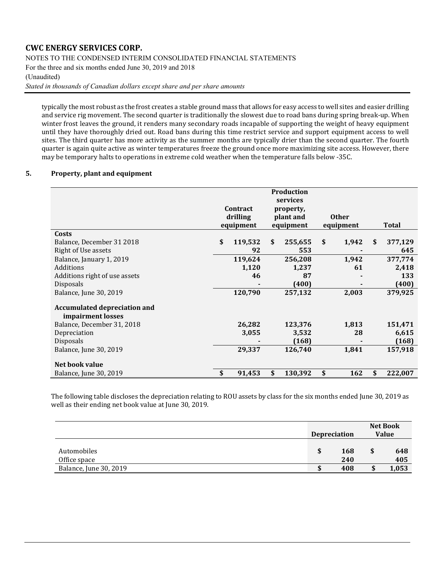NOTES TO THE CONDENSED INTERIM CONSOLIDATED FINANCIAL STATEMENTS

For the three and six months ended June 30, 2019 and 2018

#### (Unaudited)

*Stated in thousands of Canadian dollars except share and per share amounts*

typically the most robust as the frost creates a stable ground mass that allows for easy access to well sites and easier drilling and service rig movement. The second quarter is traditionally the slowest due to road bans during spring break-up. When winter frost leaves the ground, it renders many secondary roads incapable of supporting the weight of heavy equipment until they have thoroughly dried out. Road bans during this time restrict service and support equipment access to well sites. The third quarter has more activity as the summer months are typically drier than the second quarter. The fourth quarter is again quite active as winter temperatures freeze the ground once more maximizing site access. However, there may be temporary halts to operations in extreme cold weather when the temperature falls below -35C.

### **5. Property, plant and equipment**

|                                                          | Contract<br>drilling<br>equipment | <b>Production</b><br>services<br>property,<br>plant and<br>equipment | <b>Other</b><br>equipment | <b>Total</b>  |
|----------------------------------------------------------|-----------------------------------|----------------------------------------------------------------------|---------------------------|---------------|
| Costs                                                    |                                   |                                                                      |                           |               |
| Balance, December 31 2018                                | \$<br>119,532                     | \$<br>255,655                                                        | \$<br>1,942               | \$<br>377,129 |
| Right of Use assets                                      | 92                                | 553                                                                  |                           | 645           |
| Balance, January 1, 2019                                 | 119,624                           | 256,208                                                              | 1,942                     | 377,774       |
| <b>Additions</b>                                         | 1,120                             | 1,237                                                                | 61                        | 2,418         |
| Additions right of use assets                            | 46                                | 87                                                                   |                           | 133           |
| <b>Disposals</b>                                         |                                   | (400)                                                                |                           | (400)         |
| Balance, June 30, 2019                                   | 120,790                           | 257,132                                                              | 2,003                     | 379,925       |
| <b>Accumulated depreciation and</b><br>impairment losses |                                   |                                                                      |                           |               |
| Balance, December 31, 2018                               | 26,282                            | 123,376                                                              | 1,813                     | 151,471       |
| Depreciation                                             | 3,055                             | 3,532                                                                | 28                        | 6,615         |
| <b>Disposals</b>                                         |                                   | (168)                                                                |                           | (168)         |
| Balance, June 30, 2019                                   | 29,337                            | 126,740                                                              | 1,841                     | 157,918       |
| Net book value                                           |                                   |                                                                      |                           |               |
| Balance, June 30, 2019                                   | \$<br>91,453                      | \$<br>130,392                                                        | \$<br>162                 | \$<br>222,007 |

The following table discloses the depreciation relating to ROU assets by class for the six months ended June 30, 2019 as well as their ending net book value at June 30, 2019.

|                             |     | <b>Depreciation</b> |   | <b>Net Book</b><br><b>Value</b> |
|-----------------------------|-----|---------------------|---|---------------------------------|
| Automobiles<br>Office space | S   | 168<br>240          | S | 648<br>405                      |
| Balance, June 30, 2019      | J.D | 408                 |   | 1,053                           |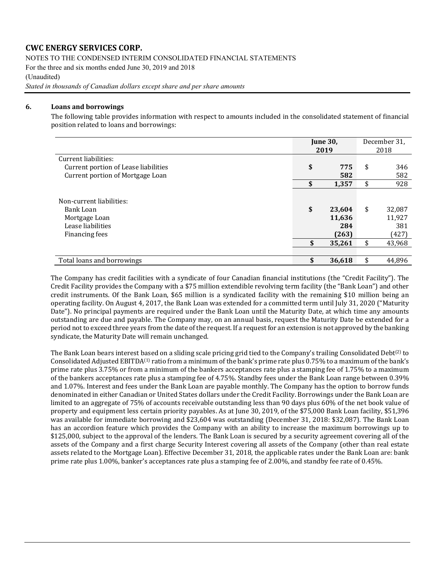NOTES TO THE CONDENSED INTERIM CONSOLIDATED FINANCIAL STATEMENTS

For the three and six months ended June 30, 2019 and 2018

(Unaudited)

*Stated in thousands of Canadian dollars except share and per share amounts*

### **6. Loans and borrowings**

The following table provides information with respect to amounts included in the consolidated statement of financial position related to loans and borrowings:

|                                                                                               |          | <b>June 30,</b><br>2019                    |          | December 31,<br>2018                       |
|-----------------------------------------------------------------------------------------------|----------|--------------------------------------------|----------|--------------------------------------------|
| Current liabilities:                                                                          |          |                                            |          |                                            |
| Current portion of Lease liabilities                                                          | \$       | 775                                        | \$       | 346                                        |
| Current portion of Mortgage Loan                                                              |          | 582                                        |          | 582                                        |
|                                                                                               | \$       | 1,357                                      | \$       | 928                                        |
| Non-current liabilities:<br>Bank Loan<br>Mortgage Loan<br>Lease liabilities<br>Financing fees | \$<br>\$ | 23,604<br>11,636<br>284<br>(263)<br>35,261 | \$<br>\$ | 32,087<br>11,927<br>381<br>(427)<br>43,968 |
| Total loans and borrowings                                                                    | \$       | 36,618                                     | \$       | 44,896                                     |

The Company has credit facilities with a syndicate of four Canadian financial institutions (the "Credit Facility"). The Credit Facility provides the Company with a \$75 million extendible revolving term facility (the "Bank Loan") and other credit instruments. Of the Bank Loan, \$65 million is a syndicated facility with the remaining \$10 million being an operating facility. On August 4, 2017, the Bank Loan was extended for a committed term until July 31, 2020 ("Maturity Date"). No principal payments are required under the Bank Loan until the Maturity Date, at which time any amounts outstanding are due and payable. The Company may, on an annual basis, request the Maturity Date be extended for a period not to exceed three years from the date of the request. If a request for an extension is not approved by the banking syndicate, the Maturity Date will remain unchanged.

The Bank Loan bears interest based on a sliding scale pricing grid tied to the Company's trailing Consolidated Debt<sup>(2)</sup> to Consolidated Adjusted EBITDA(1) ratio from a minimum of the bank's prime rate plus 0.75% to a maximum of the bank's prime rate plus 3.75% or from a minimum of the bankers acceptances rate plus a stamping fee of 1.75% to a maximum of the bankers acceptances rate plus a stamping fee of 4.75%. Standby fees under the Bank Loan range between 0.39% and 1.07%. Interest and fees under the Bank Loan are payable monthly. The Company has the option to borrow funds denominated in either Canadian or United States dollars under the Credit Facility. Borrowings under the Bank Loan are limited to an aggregate of 75% of accounts receivable outstanding less than 90 days plus 60% of the net book value of property and equipment less certain priority payables. As at June 30, 2019, of the \$75,000 Bank Loan facility, \$51,396 was available for immediate borrowing and \$23,604 was outstanding (December 31, 2018: \$32,087). The Bank Loan has an accordion feature which provides the Company with an ability to increase the maximum borrowings up to \$125,000, subject to the approval of the lenders. The Bank Loan is secured by a security agreement covering all of the assets of the Company and a first charge Security Interest covering all assets of the Company (other than real estate assets related to the Mortgage Loan). Effective December 31, 2018, the applicable rates under the Bank Loan are: bank prime rate plus 1.00%, banker's acceptances rate plus a stamping fee of 2.00%, and standby fee rate of 0.45%.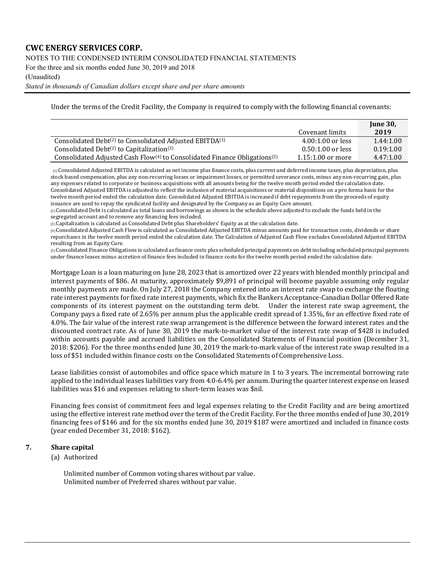### NOTES TO THE CONDENSED INTERIM CONSOLIDATED FINANCIAL STATEMENTS

For the three and six months ended June 30, 2019 and 2018

#### (Unaudited)

*Stated in thousands of Canadian dollars except share and per share amounts*

Under the terms of the Credit Facility, the Company is required to comply with the following financial covenants:

|                                                                                                   |                     | <b>June 30.</b> |
|---------------------------------------------------------------------------------------------------|---------------------|-----------------|
|                                                                                                   | Covenant limits     | 2019            |
| Consolidated Debt <sup>(2)</sup> to Consolidated Adjusted EBITDA <sup>(1)</sup>                   | $4.00:1.00$ or less | 1.44:1.00       |
| Consolidated Debt $(2)$ to Capitalization $(3)$                                                   | $0.50:1.00$ or less | 0.19:1.00       |
| Consolidated Adjusted Cash Flow <sup>(4)</sup> to Consolidated Finance Obligations <sup>(5)</sup> | $1.15:1.00$ or more | 4.47:1.00       |

 $(1)$  Consolidated Adjusted EBITDA is calculated as net income plus finance costs, plus current and deferred income taxes, plus depreciation, plus stock based compensation, plus any non-recurring losses or impairment losses, or permitted severance costs, minus any non-recurring gain, plus any expenses related to corporate or business acquisitions with all amounts being for the twelve month period ended the calculation date. Consolidated Adjusted EBITDA is adjusted to reflect the inclusion of material acquisitions or material dispositions on a pro forma basis for the twelve month period ended the calculation date. Consolidated Adjusted EBITDA is increased if debt repayments from the proceeds of equity issuance are used to repay the syndicated facility and designated by the Company as an Equity Cure amount.

 $(2)$  Consolidated Debt is calculated as total loans and borrowings as shown in the schedule above adjusted to exclude the funds held in the segregated account and to remove any financing fees included.

(3) Capitalization is calculated as Consolidated Debt plus Shareholders' Equity as at the calculation date.

(4) Consolidated Adjusted Cash Flow is calculated as Consolidated Adjusted EBITDA minus amounts paid for transaction costs, dividends or share repurchases in the twelve month period ended the calculation date. The Calculation of Adjusted Cash Flow excludes Consolidated Adjusted EBITDA resulting from an Equity Cure.

(5) Consolidated Finance Obligations is calculated as finance costs plus scheduled principal payments on debt including scheduled principal payments under finance leases minus accretion of finance fees included in finance costs for the twelve month period ended the calculation date.

Mortgage Loan is a loan maturing on June 28, 2023 that is amortized over 22 years with blended monthly principal and interest payments of \$86. At maturity, approximately \$9,891 of principal will become payable assuming only regular monthly payments are made. On July 27, 2018 the Company entered into an interest rate swap to exchange the floating rate interest payments for fixed rate interest payments, which fix the Bankers Acceptance-Canadian Dollar Offered Rate components of its interest payment on the outstanding term debt. Under the interest rate swap agreement, the Company pays a fixed rate of 2.65% per annum plus the applicable credit spread of 1.35%, for an effective fixed rate of 4.0%. The fair value of the interest rate swap arrangement is the difference between the forward interest rates and the discounted contract rate. As of June 30, 2019 the mark-to-market value of the interest rate swap of \$428 is included within accounts payable and accrued liabilities on the Consolidated Statements of Financial position (December 31, 2018: \$206). For the three months ended June 30, 2019 the mark-to-mark value of the interest rate swap resulted in a loss of \$51 included within finance costs on the Consolidated Statements of Comprehensive Loss.

Lease liabilities consist of automobiles and office space which mature in 1 to 3 years. The incremental borrowing rate applied to the individual leases liabilities vary from 4.0-6.4% per annum. During the quarter interest expense on leased liabilities was \$16 and expenses relating to short-term leases was \$nil.

Financing fees consist of commitment fees and legal expenses relating to the Credit Facility and are being amortized using the effective interest rate method over the term of the Credit Facility. For the three months ended of June 30, 2019 financing fees of \$146 and for the six months ended June 30, 2019 \$187 were amortized and included in finance costs (year ended December 31, 2018: \$162).

#### **7. Share capital**

(a) Authorized

Unlimited number of Common voting shares without par value. Unlimited number of Preferred shares without par value.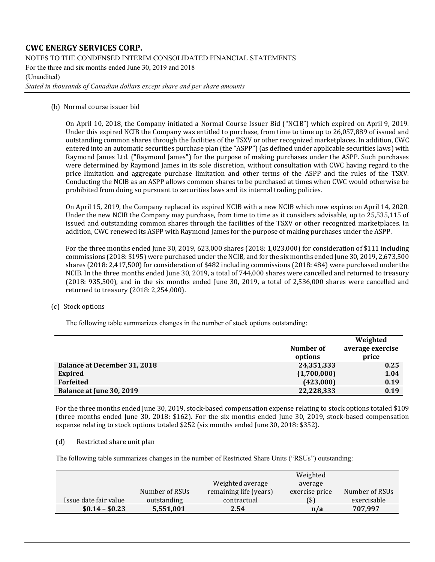NOTES TO THE CONDENSED INTERIM CONSOLIDATED FINANCIAL STATEMENTS

For the three and six months ended June 30, 2019 and 2018

#### (Unaudited)

*Stated in thousands of Canadian dollars except share and per share amounts*

(b) Normal course issuer bid

On April 10, 2018, the Company initiated a Normal Course Issuer Bid ("NCIB") which expired on April 9, 2019. Under this expired NCIB the Company was entitled to purchase, from time to time up to 26,057,889 of issued and outstanding common shares through the facilities of the TSXV or other recognized marketplaces. In addition, CWC entered into an automatic securities purchase plan (the "ASPP") (as defined under applicable securities laws) with Raymond James Ltd. ("Raymond James") for the purpose of making purchases under the ASPP. Such purchases were determined by Raymond James in its sole discretion, without consultation with CWC having regard to the price limitation and aggregate purchase limitation and other terms of the ASPP and the rules of the TSXV. Conducting the NCIB as an ASPP allows common shares to be purchased at times when CWC would otherwise be prohibited from doing so pursuant to securities laws and its internal trading policies.

On April 15, 2019, the Company replaced its expired NCIB with a new NCIB which now expires on April 14, 2020. Under the new NCIB the Company may purchase, from time to time as it considers advisable, up to 25,535,115 of issued and outstanding common shares through the facilities of the TSXV or other recognized marketplaces. In addition, CWC renewed its ASPP with Raymond James for the purpose of making purchases under the ASPP.

For the three months ended June 30, 2019, 623,000 shares (2018: 1,023,000) for consideration of \$111 including commissions (2018: \$195) were purchased under the NCIB, and for the six months ended June 30, 2019, 2,673,500 shares (2018: 2,417,500) for consideration of \$482 including commissions (2018: 484) were purchased under the NCIB. In the three months ended June 30, 2019, a total of 744,000 shares were cancelled and returned to treasury (2018: 935,500), and in the six months ended June 30, 2019, a total of 2,536,000 shares were cancelled and returned to treasury (2018: 2,254,000).

(c) Stock options

The following table summarizes changes in the number of stock options outstanding:

|                                     |             | Weighted         |
|-------------------------------------|-------------|------------------|
|                                     | Number of   | average exercise |
|                                     | options     | price            |
| <b>Balance at December 31, 2018</b> | 24,351,333  | 0.25             |
| <b>Expired</b>                      | (1,700,000) | 1.04             |
| <b>Forfeited</b>                    | (423,000)   | 0.19             |
| Balance at June 30, 2019            | 22,228,333  | 0.19             |

For the three months ended June 30, 2019, stock-based compensation expense relating to stock options totaled \$109 (three months ended June 30, 2018: \$162). For the six months ended June 30, 2019, stock-based compensation expense relating to stock options totaled \$252 (six months ended June 30, 2018: \$352).

(d) Restricted share unit plan

The following table summarizes changes in the number of Restricted Share Units ("RSUs") outstanding:

|                       |                |                        | Weighted       |                |
|-----------------------|----------------|------------------------|----------------|----------------|
|                       |                | Weighted average       | average        |                |
|                       | Number of RSUs | remaining life (years) | exercise price | Number of RSUs |
| Issue date fair value | outstanding    | contractual            | (\$)           | exercisable    |
| $$0.14 - $0.23$       | 5,551,001      | 2.54                   | n/a            | 707,997        |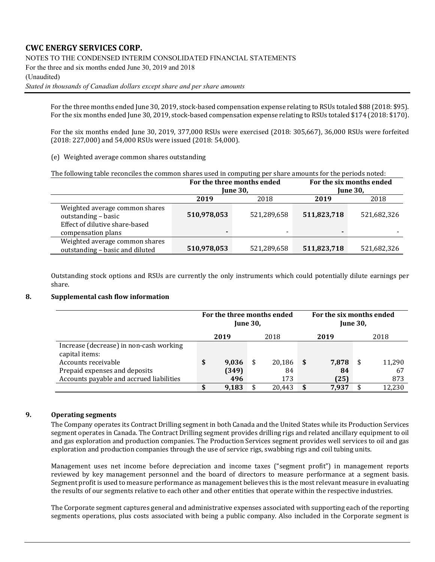NOTES TO THE CONDENSED INTERIM CONSOLIDATED FINANCIAL STATEMENTS

For the three and six months ended June 30, 2019 and 2018

(Unaudited)

*Stated in thousands of Canadian dollars except share and per share amounts*

For the three months ended June 30, 2019, stock-based compensation expense relating to RSUs totaled \$88 (2018: \$95). For the six months ended June 30, 2019, stock-based compensation expense relating to RSUs totaled \$174 (2018: \$170).

For the six months ended June 30, 2019, 377,000 RSUs were exercised (2018: 305,667), 36,000 RSUs were forfeited (2018: 227,000) and 54,000 RSUs were issued (2018: 54,000).

(e) Weighted average common shares outstanding

| The following table reconciles the common shares used in computing per share amounts for the periods noted: |
|-------------------------------------------------------------------------------------------------------------|
|-------------------------------------------------------------------------------------------------------------|

|                                                                                                               |             | For the three months ended |             | For the six months ended |
|---------------------------------------------------------------------------------------------------------------|-------------|----------------------------|-------------|--------------------------|
|                                                                                                               |             | <b>June 30.</b>            |             | <b>June 30,</b>          |
|                                                                                                               | 2019        | 2018                       | 2019        | 2018                     |
| Weighted average common shares<br>outstanding - basic<br>Effect of dilutive share-based<br>compensation plans | 510,978,053 | 521,289,658                | 511,823,718 | 521,682,326              |
| Weighted average common shares<br>outstanding - basic and diluted                                             | 510,978,053 | 521,289,658                | 511,823,718 | 521,682,326              |

Outstanding stock options and RSUs are currently the only instruments which could potentially dilute earnings per share.

### **8. Supplemental cash flow information**

|                                                           | For the three months ended | <b>June 30,</b> |        |      | For the six months ended |    |        |
|-----------------------------------------------------------|----------------------------|-----------------|--------|------|--------------------------|----|--------|
|                                                           | 2019                       |                 | 2018   |      | 2019                     |    | 2018   |
| Increase (decrease) in non-cash working<br>capital items: |                            |                 |        |      |                          |    |        |
| Accounts receivable                                       | \$<br>9,036                | \$              | 20,186 | - \$ | 7,878                    | \$ | 11,290 |
| Prepaid expenses and deposits                             | (349)                      |                 | 84     |      | 84                       |    | 67     |
| Accounts payable and accrued liabilities                  | 496                        |                 | 173    |      | (25)                     |    | 873    |
|                                                           | 9,183                      |                 | 20.443 |      | 7,937                    |    | 12,230 |

### **9. Operating segments**

The Company operates its Contract Drilling segment in both Canada and the United States while its Production Services segment operates in Canada. The Contract Drilling segment provides drilling rigs and related ancillary equipment to oil and gas exploration and production companies. The Production Services segment provides well services to oil and gas exploration and production companies through the use of service rigs, swabbing rigs and coil tubing units.

Management uses net income before depreciation and income taxes ("segment profit") in management reports reviewed by key management personnel and the board of directors to measure performance at a segment basis. Segment profit is used to measure performance as management believes this is the most relevant measure in evaluating the results of our segments relative to each other and other entities that operate within the respective industries.

The Corporate segment captures general and administrative expenses associated with supporting each of the reporting segments operations, plus costs associated with being a public company. Also included in the Corporate segment is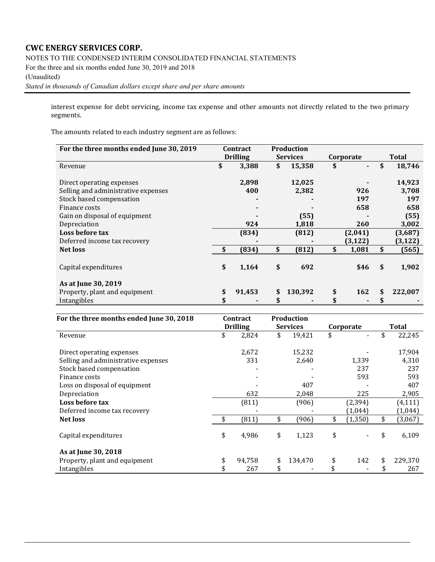NOTES TO THE CONDENSED INTERIM CONSOLIDATED FINANCIAL STATEMENTS

For the three and six months ended June 30, 2019 and 2018

#### (Unaudited)

*Stated in thousands of Canadian dollars except share and per share amounts*

interest expense for debt servicing, income tax expense and other amounts not directly related to the two primary segments.

The amounts related to each industry segment are as follows:

| For the three months ended June 30, 2019 | Contract        | <b>Production</b> |             |               |
|------------------------------------------|-----------------|-------------------|-------------|---------------|
|                                          | <b>Drilling</b> | <b>Services</b>   | Corporate   | <b>Total</b>  |
| Revenue                                  | \$<br>3,388     | \$<br>15,358      | \$<br>٠     | \$<br>18,746  |
|                                          |                 |                   |             |               |
| Direct operating expenses                | 2,898           | 12,025            |             | 14,923        |
| Selling and administrative expenses      | 400             | 2,382             | 926         | 3,708         |
| Stock based compensation                 |                 |                   | 197         | 197           |
| Finance costs                            |                 |                   | 658         | 658           |
| Gain on disposal of equipment            |                 | (55)              |             | (55)          |
| Depreciation                             | 924             | 1,818             | 260         | 3,002         |
| Loss before tax                          | (834)           | (812)             | (2,041)     | (3,687)       |
| Deferred income tax recovery             |                 |                   | (3, 122)    | (3, 122)      |
| <b>Net loss</b>                          | \$<br>(834)     | \$<br>(812)       | \$<br>1,081 | \$<br>(565)   |
| Capital expenditures                     | \$<br>1,164     | \$<br>692         | \$46        | \$<br>1,902   |
| As at June 30, 2019                      |                 |                   |             |               |
| Property, plant and equipment            | \$<br>91,453    | \$<br>130,392     | \$<br>162   | \$<br>222,007 |
| Intangibles                              |                 |                   |             |               |

| For the three months ended June 30, 2018 | Contract        | <b>Production</b> |                |               |
|------------------------------------------|-----------------|-------------------|----------------|---------------|
|                                          | <b>Drilling</b> | <b>Services</b>   | Corporate      | Total         |
| Revenue                                  | \$<br>2,824     | \$<br>19,421      | \$             | 22,245        |
| Direct operating expenses                | 2,672           | 15,232            |                | 17,904        |
| Selling and administrative expenses      | 331             | 2,640             | 1,339          | 4,310         |
| Stock based compensation                 |                 |                   | 237            | 237           |
| Finance costs                            |                 |                   | 593            | 593           |
| Loss on disposal of equipment            |                 | 407               |                | 407           |
| Depreciation                             | 632             | 2,048             | 225            | 2,905         |
| Loss before tax                          | (811)           | (906)             | (2, 394)       | (4, 111)      |
| Deferred income tax recovery             |                 |                   | (1,044)        | (1, 044)      |
| <b>Net loss</b>                          | (811)           | \$<br>(906)       | \$<br>(1, 350) | \$<br>(3,067) |
| Capital expenditures                     | \$<br>4,986     | \$<br>1,123       | \$             | 6,109         |
| As at June 30, 2018                      |                 |                   |                |               |
| Property, plant and equipment            | \$<br>94,758    | \$<br>134,470     | \$<br>142      | \$<br>229,370 |
| Intangibles                              | 267             | \$                | \$             | 267           |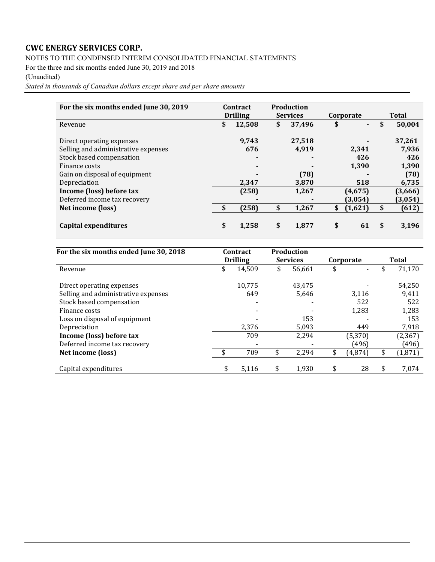NOTES TO THE CONDENSED INTERIM CONSOLIDATED FINANCIAL STATEMENTS

For the three and six months ended June 30, 2019 and 2018

### (Unaudited)

*Stated in thousands of Canadian dollars except share and per share amounts*

| For the six months ended June 30, 2019 | Contract<br><b>Drilling</b> | <b>Production</b><br><b>Services</b> | Corporate            | <b>Total</b> |         |  |
|----------------------------------------|-----------------------------|--------------------------------------|----------------------|--------------|---------|--|
| Revenue                                | \$<br>12,508                | \$<br>37,496                         | \$<br>$\blacksquare$ | \$           | 50,004  |  |
| Direct operating expenses              | 9,743                       | 27,518                               |                      |              | 37,261  |  |
| Selling and administrative expenses    | 676                         | 4,919                                | 2,341                |              | 7,936   |  |
| Stock based compensation               | ۰                           | $\blacksquare$                       | 426                  |              | 426     |  |
| Finance costs                          | $\blacksquare$              | $\blacksquare$                       | 1,390                |              | 1,390   |  |
| Gain on disposal of equipment          |                             | (78)                                 |                      |              | (78)    |  |
| Depreciation                           | 2,347                       | 3,870                                | 518                  |              | 6,735   |  |
| Income (loss) before tax               | (258)                       | 1,267                                | (4,675)              |              | (3,666) |  |
| Deferred income tax recovery           |                             | $\blacksquare$                       | (3,054)              |              | (3,054) |  |
| Net income (loss)                      | \$<br>(258)                 | \$<br>1,267                          | \$<br>(1,621)        | \$           | (612)   |  |
| Capital expenditures                   | \$<br>1,258                 | \$<br>1,877                          | \$<br>61             | \$           | 3,196   |  |

| For the six months ended June 30, 2018 | Contract        | <b>Production</b> |           |              |
|----------------------------------------|-----------------|-------------------|-----------|--------------|
|                                        | <b>Drilling</b> | <b>Services</b>   | Corporate | Total        |
| Revenue                                | \$<br>14,509    | \$<br>56,661      | \$        | \$<br>71,170 |
| Direct operating expenses              | 10.775          | 43,475            |           | 54,250       |
| Selling and administrative expenses    | 649             | 5,646             | 3,116     | 9,411        |
| Stock based compensation               |                 |                   | 522       | 522          |
| Finance costs                          |                 |                   | 1,283     | 1,283        |
| Loss on disposal of equipment          |                 | 153               |           | 153          |
| Depreciation                           | 2,376           | 5,093             | 449       | 7,918        |
| Income (loss) before tax               | 709             | 2,294             | (5, 370)  | (2, 367)     |
| Deferred income tax recovery           |                 |                   | (496)     | (496)        |
| Net income (loss)                      | 709             | 2,294             | (4,874)   | (1, 871)     |
| Capital expenditures                   | \$<br>5,116     | 1,930             | \$<br>28  | 7,074        |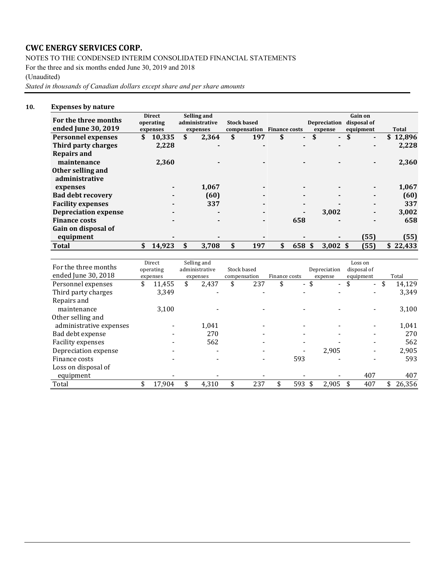NOTES TO THE CONDENSED INTERIM CONSOLIDATED FINANCIAL STATEMENTS

For the three and six months ended June 30, 2019 and 2018

### (Unaudited)

*Stated in thousands of Canadian dollars except share and per share amounts*

### **10. Expenses by nature**

| For the three months<br>ended June 30, 2019 |   | <b>Direct</b><br>operating<br>expenses | Selling and<br>administrative<br>expenses | <b>Stock based</b><br>compensation Finance costs |     |                |    | Depreciation<br>expense | <b>Gain on</b><br>disposal of<br>equipment | Total        |
|---------------------------------------------|---|----------------------------------------|-------------------------------------------|--------------------------------------------------|-----|----------------|----|-------------------------|--------------------------------------------|--------------|
| <b>Personnel expenses</b>                   |   | 10,335                                 | \$<br>2,364                               | \$<br>197                                        | \$  | $\blacksquare$ | \$ | $\blacksquare$          | \$<br>۰.                                   | 12,896<br>S. |
| Third party charges                         |   | 2,228                                  |                                           |                                                  |     | $\blacksquare$ |    |                         |                                            | 2,228        |
| <b>Repairs and</b>                          |   |                                        |                                           |                                                  |     |                |    |                         |                                            |              |
| maintenance                                 |   | 2,360                                  |                                           |                                                  |     |                |    |                         |                                            | 2,360        |
| Other selling and<br>administrative         |   |                                        |                                           |                                                  |     |                |    |                         |                                            |              |
| expenses                                    |   |                                        | 1,067                                     |                                                  |     |                |    |                         |                                            | 1,067        |
| <b>Bad debt recovery</b>                    |   |                                        | (60)                                      |                                                  |     | $\blacksquare$ |    |                         |                                            | (60)         |
| <b>Facility expenses</b>                    |   |                                        | 337                                       |                                                  |     | ٠              |    |                         |                                            | 337          |
| <b>Depreciation expense</b>                 |   |                                        |                                           |                                                  |     |                |    | 3,002                   |                                            | 3,002        |
| <b>Finance costs</b>                        |   |                                        |                                           |                                                  |     | 658            |    |                         |                                            | 658          |
| Gain on disposal of                         |   |                                        |                                           |                                                  |     |                |    |                         |                                            |              |
| equipment                                   |   |                                        |                                           |                                                  |     |                |    |                         | (55)                                       | (55)         |
| <b>Total</b>                                | S | 14.923                                 | 3.708                                     | 197                                              | \$. | 658            | -S | $3.002 \text{ s}$       | (55)                                       | \$22.433     |

| For the three months    | Direct<br>operating | Selling and<br>administrative | Stock based  |               |      | Depreciation             | Loss on<br>disposal of |                          |              |
|-------------------------|---------------------|-------------------------------|--------------|---------------|------|--------------------------|------------------------|--------------------------|--------------|
| ended June 30, 2018     | expenses            | expenses                      | compensation | Finance costs |      | expense                  | equipment              |                          | Total        |
| Personnel expenses      | \$<br>11,455        | \$<br>2,437                   | \$<br>237    | \$            | - \$ | $\overline{\phantom{0}}$ | \$                     | $\overline{\phantom{0}}$ | \$<br>14,129 |
| Third party charges     | 3,349               |                               |              |               |      |                          |                        |                          | 3,349        |
| Repairs and             |                     |                               |              |               |      |                          |                        |                          |              |
| maintenance             | 3.100               |                               |              |               |      |                          |                        |                          | 3,100        |
| Other selling and       |                     |                               |              |               |      |                          |                        |                          |              |
| administrative expenses |                     | 1.041                         |              |               |      |                          |                        |                          | 1,041        |
| Bad debt expense        |                     | 270                           |              |               |      |                          |                        |                          | 270          |
| Facility expenses       |                     | 562                           |              |               |      |                          |                        |                          | 562          |
| Depreciation expense    |                     |                               |              |               |      | 2,905                    |                        |                          | 2,905        |
| Finance costs           |                     |                               |              | 593           |      |                          |                        |                          | 593          |
| Loss on disposal of     |                     |                               |              |               |      |                          |                        |                          |              |
| equipment               |                     |                               |              |               |      |                          |                        | 407                      | 407          |
| Total                   | \$<br>17,904        | 4,310                         | 237          | \$<br>593 \$  |      | 2,905                    |                        | 407                      | 26,356       |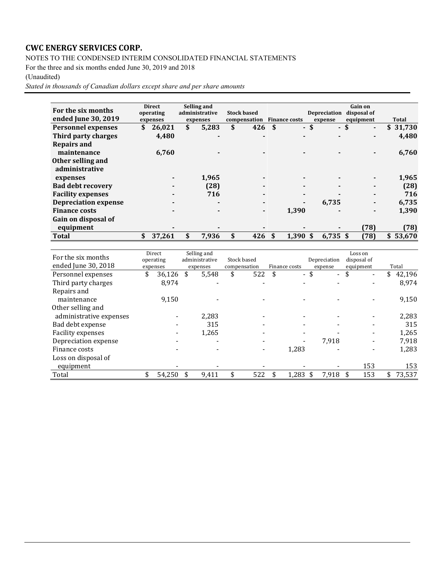NOTES TO THE CONDENSED INTERIM CONSOLIDATED FINANCIAL STATEMENTS

For the three and six months ended June 30, 2019 and 2018

### (Unaudited)

*Stated in thousands of Canadian dollars except share and per share amounts*

| For the six months          |    | <b>Direct</b> | Selling and    |                    |      |                      |      |                     | <b>Gain on</b>         |          |
|-----------------------------|----|---------------|----------------|--------------------|------|----------------------|------|---------------------|------------------------|----------|
|                             |    | operating     | administrative | <b>Stock based</b> |      |                      |      | <b>Depreciation</b> | disposal of            |          |
| ended June 30, 2019         |    | expenses      | expenses       | compensation       |      | <b>Finance costs</b> |      | expense             | equipment              | Total    |
| <b>Personnel expenses</b>   | S  | 26,021        | \$<br>5,283    | \$<br>426          | -\$  |                      | - \$ |                     | - \$<br>$\blacksquare$ | \$31,730 |
| Third party charges         |    | 4,480         |                |                    |      |                      |      |                     |                        | 4,480    |
| <b>Repairs and</b>          |    |               |                |                    |      |                      |      |                     |                        |          |
| maintenance                 |    | 6,760         |                |                    |      |                      |      |                     |                        | 6,760    |
| Other selling and           |    |               |                |                    |      |                      |      |                     |                        |          |
| administrative              |    |               |                |                    |      |                      |      |                     |                        |          |
| expenses                    |    |               | 1,965          |                    |      |                      |      |                     |                        | 1,965    |
| <b>Bad debt recovery</b>    |    |               | (28)           | $\blacksquare$     |      |                      |      |                     |                        | (28)     |
| <b>Facility expenses</b>    |    |               | 716            |                    |      |                      |      |                     |                        | 716      |
| <b>Depreciation expense</b> |    |               | $\blacksquare$ | ۰                  |      | ٠                    |      | 6,735               |                        | 6,735    |
| <b>Finance costs</b>        |    |               |                | ۰                  |      | 1,390                |      |                     |                        | 1,390    |
| Gain on disposal of         |    |               |                |                    |      |                      |      |                     |                        |          |
| equipment                   |    |               |                |                    |      |                      |      |                     | (78)                   | (78)     |
| <b>Total</b>                | \$ | 37,261        | \$<br>7,936    | 426                | - \$ | $1,390$ \$           |      | $6.735$ \$          | (78)                   | \$53,670 |

| For the six months      | Direct       | Selling and    |              |               |                      | Loss on                        |              |
|-------------------------|--------------|----------------|--------------|---------------|----------------------|--------------------------------|--------------|
|                         | operating    | administrative | Stock based  |               | Depreciation         | disposal of                    |              |
| ended June 30, 2018     | expenses     | expenses       | compensation | Finance costs | expense              | equipment                      | Total        |
| Personnel expenses      | \$<br>36,126 | \$<br>5,548    | \$<br>522    | \$<br>$\sim$  | \$<br>$\blacksquare$ | \$<br>$\overline{\phantom{a}}$ | \$<br>42,196 |
| Third party charges     | 8,974        |                |              |               |                      |                                | 8,974        |
| Repairs and             |              |                |              |               |                      |                                |              |
| maintenance             | 9,150        |                |              |               |                      |                                | 9,150        |
| Other selling and       |              |                |              |               |                      |                                |              |
| administrative expenses |              | 2,283          |              |               |                      |                                | 2,283        |
| Bad debt expense        |              | 315            |              |               |                      |                                | 315          |
| Facility expenses       |              | 1,265          |              |               |                      |                                | 1,265        |
| Depreciation expense    |              |                |              |               | 7,918                |                                | 7,918        |
| Finance costs           |              |                |              | 1,283         |                      |                                | 1,283        |
| Loss on disposal of     |              |                |              |               |                      |                                |              |
| equipment               |              |                |              |               |                      | 153                            | 153          |
| Total                   | 54,250       | 9,411          | 522          | 1,283         | 7,918                | 153                            | 73,537       |